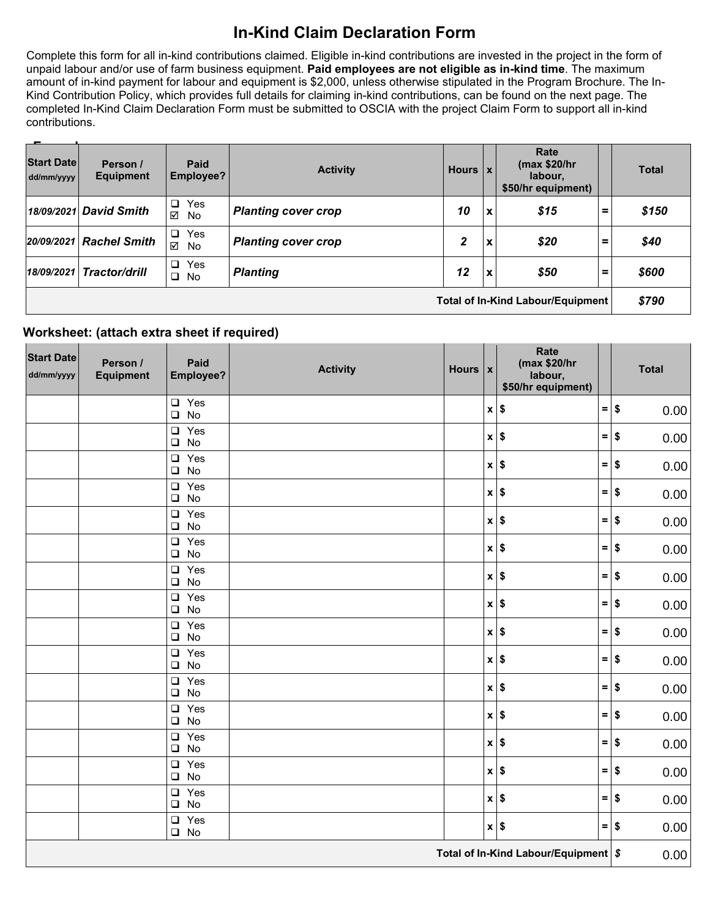## **In-Kind Claim Declaration Form**

Complete this form for all in-kind contributions claimed. Eligible in-kind contributions are invested in the project in the form of unpaid labour and/or use of farm business equipment. **Paid employees are not eligible as in-kind time**. The maximum amount of in-kind payment for labour and equipment is \$2,000, unless otherwise stipulated in the Program Brochure. The In-Kind Contribution Policy, which provides full details for claiming in-kind contributions, can be found on the next page. The completed In-Kind Claim Declaration Form must be submitted to OSCIA with the project Claim Form to support all in-kind contributions.

| $\overline{\phantom{a}}$<br><b>Start Date</b><br>dd/mm/yyyy | Person /<br><b>Equipment</b> | Paid<br>Employee?          | <b>Activity</b>            | Hours   x |                           | Rate<br>(max \$20/hr<br>labour.<br>\$50/hr equipment) |          | <b>Total</b> |
|-------------------------------------------------------------|------------------------------|----------------------------|----------------------------|-----------|---------------------------|-------------------------------------------------------|----------|--------------|
|                                                             | 18/09/2021 David Smith       | Yes<br>$\Box$<br>☑<br>No   | <b>Planting cover crop</b> | 10        | X                         | \$15                                                  | $=$      | \$150        |
|                                                             | 20/09/2021 Rachel Smith      | Yes<br>$\Box$<br>☑<br>No   | <b>Planting cover crop</b> | 2         | $\boldsymbol{\mathsf{x}}$ | \$20                                                  | $\equiv$ | \$40         |
|                                                             | $18/09/2021$ Tractor/drill   | Yes<br>$\Box$<br>$\Box$ No | <b>Planting</b>            | 12        | l X                       | \$50                                                  | $\equiv$ | \$600        |
| <b>Total of In-Kind Labour/Equipment</b>                    |                              |                            |                            |           |                           |                                                       |          | \$790        |

## **Worksheet: (attach extra sheet if required)**

| <b>Start Date</b><br>dd/mm/yyyy      | Person /<br><b>Equipment</b> | Paid<br>Employee?          | <b>Activity</b> | Hours $\vert x \vert$ |  | Rate<br>(max \$20/hr<br>labour,<br>\$50/hr equipment) |     | <b>Total</b>                 |
|--------------------------------------|------------------------------|----------------------------|-----------------|-----------------------|--|-------------------------------------------------------|-----|------------------------------|
|                                      |                              | $\Box$ Yes<br>$\square$ No |                 |                       |  | $x$ $\sqrt{s}$                                        |     | $=$ $\sqrt{ }$<br>0.00       |
|                                      |                              | $\Box$ Yes<br>$\Box$<br>No |                 |                       |  | $x$ $\sqrt{s}$                                        | $=$ | \$<br>0.00                   |
|                                      |                              | $\Box$ Yes<br>$\square$ No |                 |                       |  | $x$ $\sqrt{s}$                                        | $=$ | \$<br>0.00                   |
|                                      |                              | $\Box$ Yes<br>No<br>$\Box$ |                 |                       |  | $x$ $\sqrt{s}$                                        | $=$ | $\overline{\bullet}$<br>0.00 |
|                                      |                              | $\Box$ Yes<br>No<br>$\Box$ |                 |                       |  | $x$ $\sqrt{s}$                                        | $=$ | $\overline{\bullet}$<br>0.00 |
|                                      |                              | $\Box$ Yes<br>$\square$ No |                 |                       |  | $x$ $\sqrt{5}$                                        |     | $=$ \$<br>0.00               |
|                                      |                              | $\Box$ Yes<br>$\square$ No |                 |                       |  | $x$ $\sqrt{5}$                                        | $=$ | $\frac{1}{2}$<br>0.00        |
|                                      |                              | $\Box$ Yes<br>$\Box$ No    |                 |                       |  | $x$ $\sqrt{s}$                                        | $=$ | $\sqrt{2}$<br>0.00           |
|                                      |                              | $\Box$ Yes<br>No<br>$\Box$ |                 |                       |  | $x$ $\sqrt{s}$                                        |     | $=$ $\sqrt{ }$<br>0.00       |
|                                      |                              | $\Box$ Yes<br>$\square$ No |                 |                       |  | $x$ $\sqrt{s}$                                        |     | $=$ \$<br>0.00               |
|                                      |                              | $\Box$ Yes<br>$\square$ No |                 |                       |  | $x$ $\sqrt{s}$                                        | $=$ | $\frac{1}{2}$<br>0.00        |
|                                      |                              | $\Box$ Yes<br>$\square$ No |                 |                       |  | $x$ $\sqrt{s}$                                        | $=$ | $\frac{1}{2}$<br>0.00        |
|                                      |                              | $\Box$ Yes<br>No<br>$\Box$ |                 |                       |  | $x $ \$                                               |     | $=$ $\sqrt{ }$<br>0.00       |
|                                      |                              | $\Box$ Yes<br>$\Box$ No    |                 |                       |  | $x$ $\sqrt{s}$                                        |     | $=$ \$<br>0.00               |
|                                      |                              | $\Box$ Yes<br>$\square$ No |                 |                       |  | $x$ $\sqrt{s}$                                        | $=$ | $\frac{1}{2}$<br>0.00        |
|                                      |                              | $\Box$ Yes<br>$\square$ No |                 |                       |  | $x$ $\sqrt{s}$                                        |     | $=$ \$<br>0.00               |
| Total of In-Kind Labour/Equipment \$ |                              |                            |                 |                       |  |                                                       |     | 0.00                         |